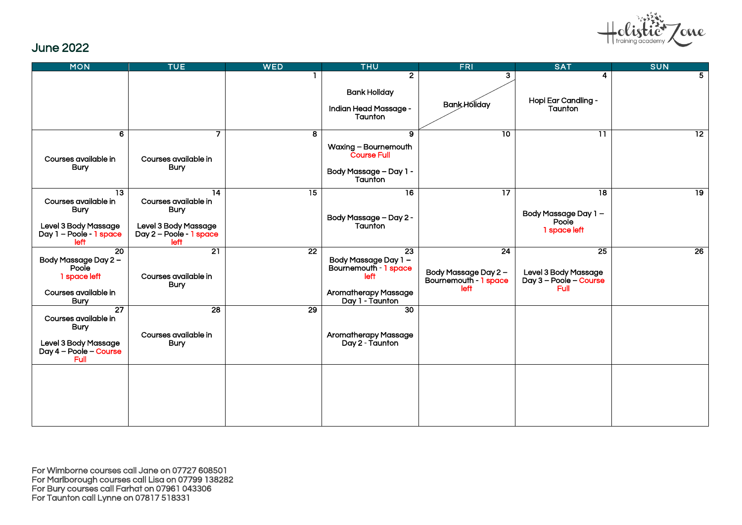

#### June 2022

| <b>MON</b>                                                                                                        | <b>TUE</b>                                                                                                         | <b>WED</b>      | <b>THU</b>                                                                                                           | <b>FRI</b>                                                  | <b>SAT</b>                                                      | <b>SUN</b>      |
|-------------------------------------------------------------------------------------------------------------------|--------------------------------------------------------------------------------------------------------------------|-----------------|----------------------------------------------------------------------------------------------------------------------|-------------------------------------------------------------|-----------------------------------------------------------------|-----------------|
|                                                                                                                   |                                                                                                                    |                 | $\overline{2}$<br><b>Bank Holiday</b><br>Indian Head Massage -<br>Taunton                                            | 3<br><b>BankHoliday</b>                                     | 4<br>Hopi Ear Candling -<br>Taunton                             | 5               |
| 6<br>Courses available in<br><b>Bury</b>                                                                          | $\overline{7}$<br>Courses available in<br><b>Bury</b>                                                              | 8               | 9<br>Waxing - Bournemouth<br><b>Course Full</b><br>Body Massage - Day 1 -<br>Taunton                                 | $\overline{10}$                                             | $\overline{11}$                                                 | $\overline{12}$ |
| $\overline{13}$<br>Courses available in<br><b>Bury</b><br>Level 3 Body Massage<br>Day 1 - Poole - 1 space<br>left | $\overline{14}$<br>Courses available in<br><b>Bury</b><br>Level 3 Body Massage<br>Day 2 - Poole - 1 space<br>left. | $\overline{15}$ | $\overline{16}$<br>Body Massage - Day 2 -<br>Taunton                                                                 | $\overline{17}$                                             | $\overline{18}$<br>Body Massage Day 1-<br>Poole<br>1 space left | $\overline{19}$ |
| $\overline{20}$<br>Body Massage Day 2 -<br>Poole<br>1 space left<br>Courses available in<br><b>Bury</b>           | $\overline{21}$<br>Courses available in<br><b>Bury</b>                                                             | $\overline{22}$ | 23<br>Body Massage Day 1 -<br>Bournemouth - 1 space<br><b>left</b><br><b>Aromatherapy Massage</b><br>Day 1 - Taunton | 24<br>Body Massage Day 2 -<br>Bournemouth - 1 space<br>left | 25<br>Level 3 Body Massage<br>Day 3 - Poole - Course<br>Full    | 26              |
| $\overline{27}$<br>Courses available in<br><b>Bury</b><br>Level 3 Body Massage<br>Day 4 - Poole - Course<br>Full  | $\overline{28}$<br>Courses available in<br><b>Bury</b>                                                             | $\overline{29}$ | 30<br><b>Aromatherapy Massage</b><br>Day 2 - Taunton                                                                 |                                                             |                                                                 |                 |
|                                                                                                                   |                                                                                                                    |                 |                                                                                                                      |                                                             |                                                                 |                 |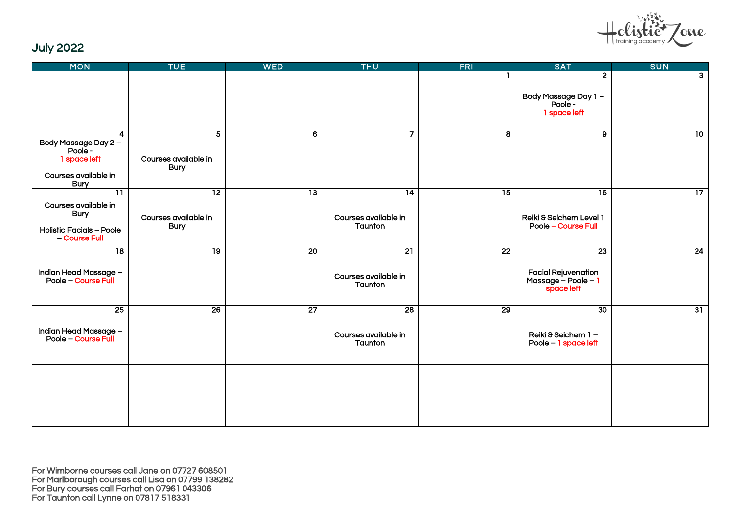

# July 2022

| <b>MON</b>                                                                                               | <b>TUE</b>                               | <b>WED</b>      | <b>THU</b>                      | <b>FRI</b>      | <b>SAT</b>                                                         | <b>SUN</b>      |
|----------------------------------------------------------------------------------------------------------|------------------------------------------|-----------------|---------------------------------|-----------------|--------------------------------------------------------------------|-----------------|
|                                                                                                          |                                          |                 |                                 |                 | $\overline{2}$                                                     | 3 <sup>1</sup>  |
|                                                                                                          |                                          |                 |                                 |                 | Body Massage Day 1 –<br>- Poole -<br>1 space left                  |                 |
| $\overline{4}$<br>Body Massage Day 2 -<br>Poole -<br>1 space left<br>Courses available in<br><b>Bury</b> | 5<br>Courses available in<br><b>Bury</b> | 6               | $\overline{7}$                  | 8               | $\overline{9}$                                                     | 10              |
| $\overline{11}$                                                                                          | $\overline{12}$                          | $\overline{13}$ | $\overline{14}$                 | $\overline{15}$ | $\overline{16}$                                                    | $\overline{17}$ |
| Courses available in<br><b>Bury</b><br><b>Holistic Facials - Poole</b><br>- Course Full                  | Courses available in<br><b>Bury</b>      |                 | Courses available in<br>Taunton |                 | Reiki & Seichem Level 1<br>Poole - Course Full                     |                 |
| $\overline{18}$                                                                                          | 19                                       | $\overline{20}$ | 21                              | $\overline{22}$ | 23                                                                 | 24              |
| Indian Head Massage –<br>Poole – Course Full                                                             |                                          |                 | Courses available in<br>Taunton |                 | <b>Facial Rejuvenation</b><br>Massage $-$ Poole $-1$<br>space left |                 |
| $\overline{25}$                                                                                          | $\overline{26}$                          | $\overline{27}$ | $\overline{28}$                 | 29              | $\overline{30}$                                                    | 31              |
| Indian Head Massage –<br>Poole – Course Full                                                             |                                          |                 | Courses available in<br>Taunton |                 | Reiki & Seichem 1-<br>Poole - 1 space left                         |                 |
|                                                                                                          |                                          |                 |                                 |                 |                                                                    |                 |
|                                                                                                          |                                          |                 |                                 |                 |                                                                    |                 |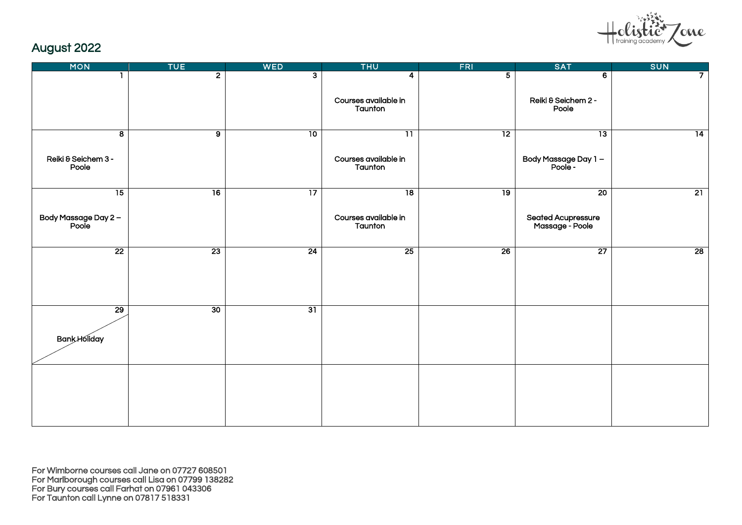

# August 2022

| <b>MON</b>                    | <b>TUE</b>      | <b>WED</b>      | <b>THU</b>                      | <b>FRI</b>      | <b>SAT</b>                            | <b>SUN</b>      |
|-------------------------------|-----------------|-----------------|---------------------------------|-----------------|---------------------------------------|-----------------|
|                               | 2 <sup>1</sup>  | 3               | 4                               | $\overline{5}$  | 6                                     | $\overline{7}$  |
|                               |                 |                 | Courses available in<br>Taunton |                 | Reiki & Seichem 2 -<br>Poole          |                 |
| $\overline{\mathbf{8}}$       | $\overline{9}$  | 10              | $\overline{11}$                 | $\overline{12}$ | $\overline{13}$                       | $\overline{14}$ |
| Reiki & Seichem 3 -<br>Poole  |                 |                 | Courses available in<br>Taunton |                 | Body Massage Day 1 -<br>- Poole -     |                 |
| $\overline{15}$               | $\overline{16}$ | $\overline{17}$ | $\overline{18}$                 | $\overline{19}$ | $\overline{20}$                       | 21              |
| Body Massage Day 2 –<br>Poole |                 |                 | Courses available in<br>Taunton |                 | Seated Acupressure<br>Massage - Poole |                 |
| $\overline{22}$               | $\overline{23}$ | 24              | 25                              | 26              | $\overline{27}$                       | 28              |
| $\overline{29}$               | 30              | $\overline{31}$ |                                 |                 |                                       |                 |
| <b>Bank Holiday</b>           |                 |                 |                                 |                 |                                       |                 |
|                               |                 |                 |                                 |                 |                                       |                 |
|                               |                 |                 |                                 |                 |                                       |                 |
|                               |                 |                 |                                 |                 |                                       |                 |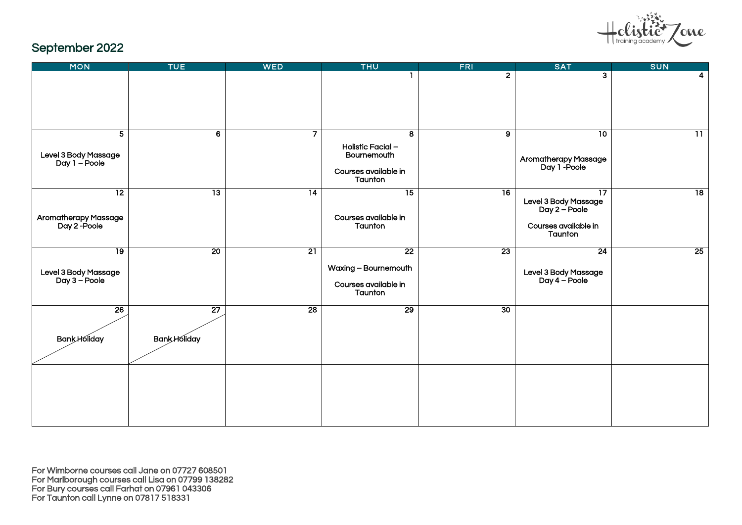

# September 2022

| <b>MON</b>                                                      | <b>TUE</b>                             | <b>WED</b>      | <b>THU</b>                                                                 | <b>FRI</b>      | <b>SAT</b>                                                                                  | <b>SUN</b>      |
|-----------------------------------------------------------------|----------------------------------------|-----------------|----------------------------------------------------------------------------|-----------------|---------------------------------------------------------------------------------------------|-----------------|
|                                                                 |                                        |                 |                                                                            | $\overline{2}$  | $\overline{a}$                                                                              | 4               |
| $\overline{5}$<br>Level 3 Body Massage<br>Day 1 – Poole         | $\overline{6}$                         | $\overline{7}$  | ತ<br>Holistic Facial -<br>Bournemouth<br>Courses available in<br>Taunton   | $\overline{9}$  | 10<br>Aromatherapy Massage<br>Day 1 -Poole                                                  | $\overline{11}$ |
| $\overline{12}$<br><b>Aromatherapy Massage</b><br>Day 2 - Poole | $\overline{13}$                        | $\overline{14}$ | $\overline{15}$<br>Courses available in<br>Taunton                         | $\overline{16}$ | $\overline{17}$<br>Level 3 Body Massage<br>Day 2 – Poole<br>Courses available in<br>Taunton | $\overline{18}$ |
| $\overline{19}$<br>Level 3 Body Massage<br>Day 3 – Poole        | 20                                     | $\overline{21}$ | $\overline{22}$<br>Waxing - Bournemouth<br>Courses available in<br>Taunton | $\overline{23}$ | 24<br>Level 3 Body Massage<br>Day 4 – Poole                                                 | 25              |
| $\overline{26}$<br><b>Bank Holiday</b>                          | $\overline{27}$<br><b>Bank Holiday</b> | $\overline{28}$ | $\overline{29}$                                                            | 30              |                                                                                             |                 |
|                                                                 |                                        |                 |                                                                            |                 |                                                                                             |                 |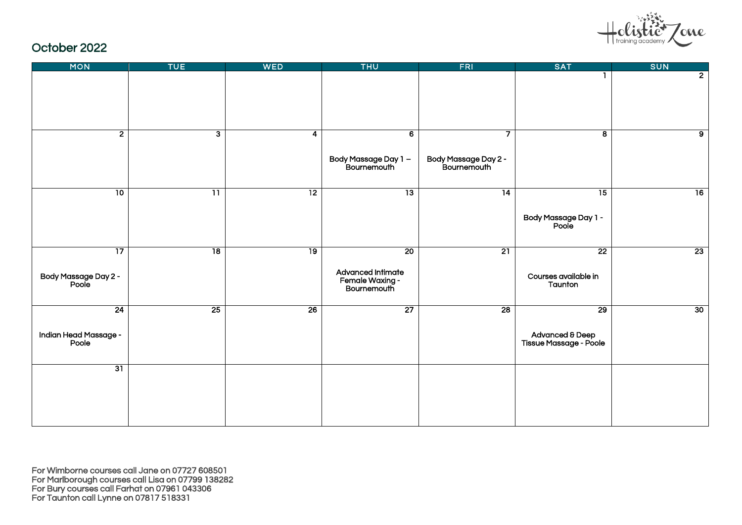

#### October 2022

| <b>MON</b>                                       | <b>TUE</b>              | <b>WED</b>      | <b>THU</b>                                                                      | <b>FRI</b>                               | <b>SAT</b>                                                   | <b>SUN</b>     |
|--------------------------------------------------|-------------------------|-----------------|---------------------------------------------------------------------------------|------------------------------------------|--------------------------------------------------------------|----------------|
|                                                  |                         |                 |                                                                                 |                                          |                                                              | $\overline{2}$ |
| $\overline{2}$                                   | $\overline{\mathbf{3}}$ | 4               | $\overline{6}$<br>Body Massage Day 1 -<br>Bournemouth                           | 7<br>Body Massage Day 2 -<br>Bournemouth | $\overline{\mathbf{8}}$                                      | $\overline{9}$ |
| $\overline{10}$                                  | $\overline{11}$         | $\overline{12}$ | $\overline{13}$                                                                 | $\overline{14}$                          | $\overline{15}$<br>- Body Massage Day 1<br>Poole             | 16             |
| $\overline{17}$<br>- Body Massage Day 2<br>Poole | $\overline{18}$         | 19              | $\overline{20}$<br><b>Advanced Intimate</b><br>Female Waxing -<br>- Bournemouth | $\overline{21}$                          | $\overline{22}$<br>Courses available in<br>Taunton           | 23             |
| 24<br>Indian Head Massage -<br>Poole             | 25                      | $\overline{26}$ | $\overline{27}$                                                                 | $\overline{28}$                          | $\overline{29}$<br>Advanced & Deep<br>Tissue Massage - Poole | 30             |
| 31                                               |                         |                 |                                                                                 |                                          |                                                              |                |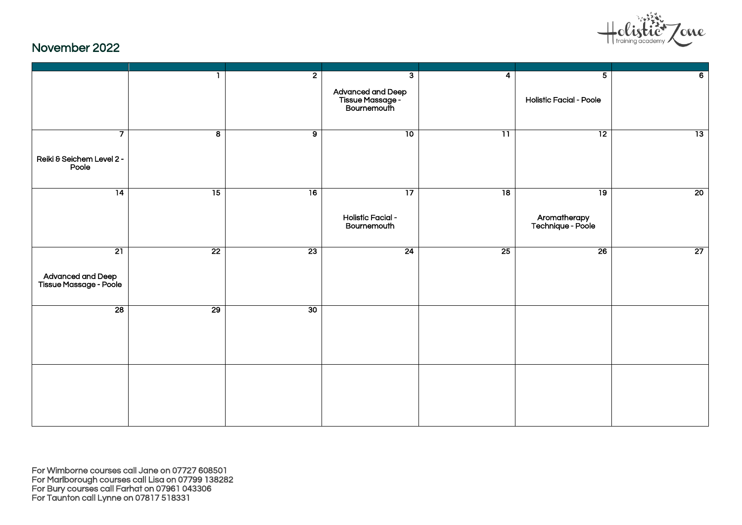

#### November 2022

|                                             |                         | $\overline{2}$  | $\overline{\mathbf{3}}$                                | 4               | 5 <sup>5</sup>                    | $\overline{6}$  |
|---------------------------------------------|-------------------------|-----------------|--------------------------------------------------------|-----------------|-----------------------------------|-----------------|
|                                             |                         |                 | Advanced and Deep<br>- Tissue Massage<br>- Bournemouth |                 | <b>Holistic Facial - Poole</b>    |                 |
| $\overline{7}$                              | $\overline{\mathbf{8}}$ | $\overline{9}$  | $\overline{10}$                                        | $\overline{11}$ | 12                                | $\overline{13}$ |
| Reiki & Seichem Level 2 -<br>Poole          |                         |                 |                                                        |                 |                                   |                 |
| 14                                          | $\overline{15}$         | 16              | $\overline{17}$                                        | $\overline{18}$ | 19                                | 20              |
|                                             |                         |                 | <b>Holistic Facial -</b><br>Bournemouth                |                 | Aromatherapy<br>Technique - Poole |                 |
| 21                                          | $\overline{22}$         | $\overline{23}$ | 24                                                     | $\overline{25}$ | $\overline{26}$                   | 27              |
| Advanced and Deep<br>Tissue Massage - Poole |                         |                 |                                                        |                 |                                   |                 |
| 28                                          | 29                      | 30              |                                                        |                 |                                   |                 |
|                                             |                         |                 |                                                        |                 |                                   |                 |
|                                             |                         |                 |                                                        |                 |                                   |                 |
|                                             |                         |                 |                                                        |                 |                                   |                 |
|                                             |                         |                 |                                                        |                 |                                   |                 |
|                                             |                         |                 |                                                        |                 |                                   |                 |